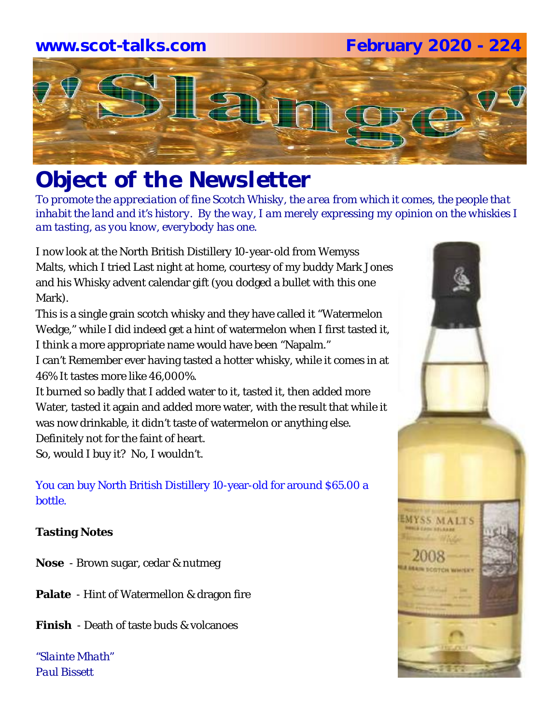#### **www.scot-talks.com February 2020 - 224**



# *Object of the Newsletter*

*To promote the appreciation of fine Scotch Whisky, the area from which it comes, the people that inhabit the land and it's history. By the way, I am merely expressing my opinion on the whiskies I am tasting, as you know, everybody has one.* 

I now look at the North British Distillery 10-year-old from Wemyss Malts, which I tried Last night at home, courtesy of my buddy Mark Jones and his Whisky advent calendar gift (you dodged a bullet with this one Mark).

This is a single grain scotch whisky and they have called it "Watermelon Wedge," while I did indeed get a hint of watermelon when I first tasted it, I think a more appropriate name would have been "Napalm."

I can't Remember ever having tasted a hotter whisky, while it comes in at 46% It tastes more like 46,000%.

It burned so badly that I added water to it, tasted it, then added more Water, tasted it again and added more water, with the result that while it was now drinkable, it didn't taste of watermelon or anything else.

Definitely not for the faint of heart.

So, would I buy it? No, I wouldn't.

#### You can buy North British Distillery 10-year-old for around \$65.00 a bottle.

#### **Tasting Notes**

**Nose** - Brown sugar, cedar & nutmeg

**Palate** - Hint of Watermellon & dragon fire

**Finish** - Death of taste buds & volcanoes

*"Slainte Mhath" Paul Bissett*

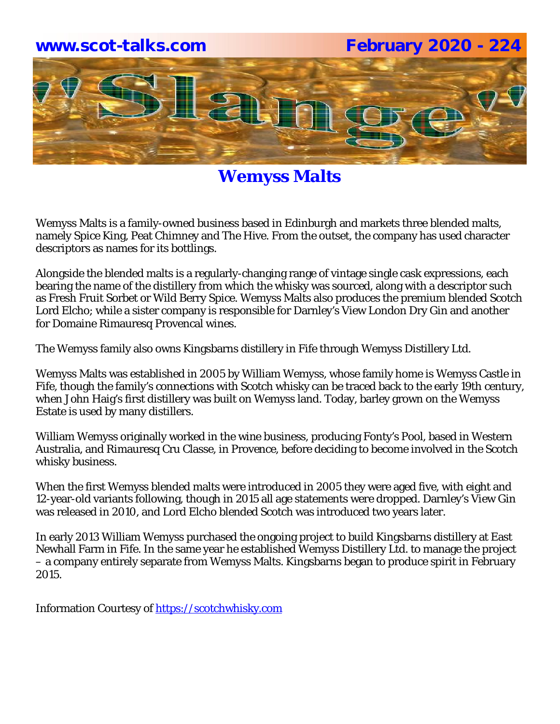

### **Wemyss Malts**

Wemyss Malts is a family-owned business based in Edinburgh and markets three blended malts, namely Spice King, Peat Chimney and The Hive. From the outset, the company has used character descriptors as names for its bottlings.

Alongside the blended malts is a regularly-changing range of vintage single cask expressions, each bearing the name of the distillery from which the whisky was sourced, along with a descriptor such as Fresh Fruit Sorbet or Wild Berry Spice. Wemyss Malts also produces the premium blended Scotch Lord Elcho; while a sister company is responsible for Darnley's View London Dry Gin and another for Domaine Rimauresq Provencal wines.

The Wemyss family also owns Kingsbarns distillery in Fife through Wemyss Distillery Ltd.

Wemyss Malts was established in 2005 by William Wemyss, whose family home is Wemyss Castle in Fife, though the family's connections with Scotch whisky can be traced back to the early 19th century, when John Haig's first distillery was built on Wemyss land. Today, barley grown on the Wemyss Estate is used by many distillers.

William Wemyss originally worked in the wine business, producing Fonty's Pool, based in Western Australia, and Rimauresq Cru Classe, in Provence, before deciding to become involved in the Scotch whisky business.

When the first Wemyss blended malts were introduced in 2005 they were aged five, with eight and 12-year-old variants following, though in 2015 all age statements were dropped. Darnley's View Gin was released in 2010, and Lord Elcho blended Scotch was introduced two years later.

In early 2013 William Wemyss purchased the ongoing project to build Kingsbarns distillery at East Newhall Farm in Fife. In the same year he established Wemyss Distillery Ltd. to manage the project – a company entirely separate from Wemyss Malts. Kingsbarns began to produce spirit in February 2015.

Information Courtesy of https://scotchwhisky.com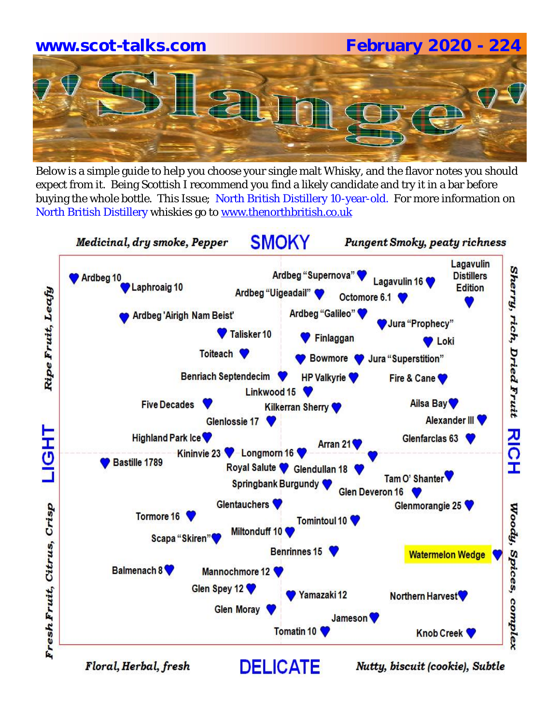# **www.scot-talks.com February 2020 - 224**

Below is a simple guide to help you choose your single malt Whisky, and the flavor notes you should expect from it. Being Scottish I recommend you find a likely candidate and try it in a bar before buying the whole bottle. This Issue; North British Distillery 10-year-old. For more information on North British Distillery whiskies go to www.thenorthbritish.co.uk



Floral, Herbal, fresh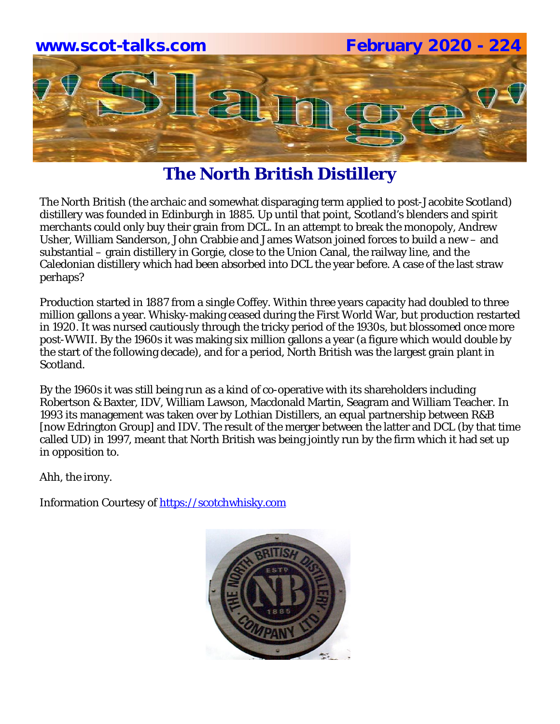

### **The North British Distillery**

The North British (the archaic and somewhat disparaging term applied to post-Jacobite Scotland) distillery was founded in Edinburgh in 1885. Up until that point, Scotland's blenders and spirit merchants could only buy their grain from DCL. In an attempt to break the monopoly, Andrew Usher, William Sanderson, John Crabbie and James Watson joined forces to build a new – and substantial – grain distillery in Gorgie, close to the Union Canal, the railway line, and the Caledonian distillery which had been absorbed into DCL the year before. A case of the last straw perhaps?

Production started in 1887 from a single Coffey. Within three years capacity had doubled to three million gallons a year. Whisky-making ceased during the First World War, but production restarted in 1920. It was nursed cautiously through the tricky period of the 1930s, but blossomed once more post-WWII. By the 1960s it was making six million gallons a year (a figure which would double by the start of the following decade), and for a period, North British was the largest grain plant in Scotland.

By the 1960s it was still being run as a kind of co-operative with its shareholders including Robertson & Baxter, IDV, William Lawson, Macdonald Martin, Seagram and William Teacher. In 1993 its management was taken over by Lothian Distillers, an equal partnership between R&B [now Edrington Group] and IDV. The result of the merger between the latter and DCL (by that time called UD) in 1997, meant that North British was being jointly run by the firm which it had set up in opposition to.

Ahh, the irony.

Information Courtesy of https://scotchwhisky.com